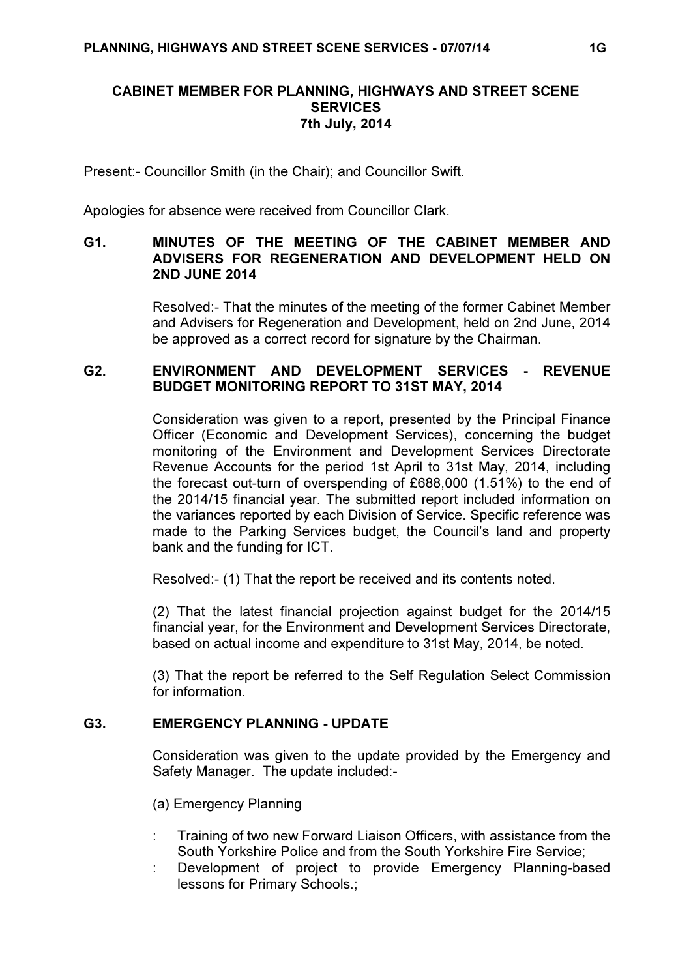## CABINET MEMBER FOR PLANNING, HIGHWAYS AND STREET SCENE **SERVICES** 7th July, 2014

Present:- Councillor Smith (in the Chair); and Councillor Swift.

Apologies for absence were received from Councillor Clark.

## G1. MINUTES OF THE MEETING OF THE CABINET MEMBER AND ADVISERS FOR REGENERATION AND DEVELOPMENT HELD ON 2ND JUNE 2014

 Resolved:- That the minutes of the meeting of the former Cabinet Member and Advisers for Regeneration and Development, held on 2nd June, 2014 be approved as a correct record for signature by the Chairman.

## G2. ENVIRONMENT AND DEVELOPMENT SERVICES - REVENUE BUDGET MONITORING REPORT TO 31ST MAY, 2014

 Consideration was given to a report, presented by the Principal Finance Officer (Economic and Development Services), concerning the budget monitoring of the Environment and Development Services Directorate Revenue Accounts for the period 1st April to 31st May, 2014, including the forecast out-turn of overspending of £688,000 (1.51%) to the end of the 2014/15 financial year. The submitted report included information on the variances reported by each Division of Service. Specific reference was made to the Parking Services budget, the Council's land and property bank and the funding for ICT.

Resolved:- (1) That the report be received and its contents noted.

(2) That the latest financial projection against budget for the 2014/15 financial year, for the Environment and Development Services Directorate, based on actual income and expenditure to 31st May, 2014, be noted.

(3) That the report be referred to the Self Regulation Select Commission for information.

# G3. EMERGENCY PLANNING - UPDATE

 Consideration was given to the update provided by the Emergency and Safety Manager. The update included:-

(a) Emergency Planning

- : Training of two new Forward Liaison Officers, with assistance from the South Yorkshire Police and from the South Yorkshire Fire Service;
- Development of project to provide Emergency Planning-based lessons for Primary Schools.;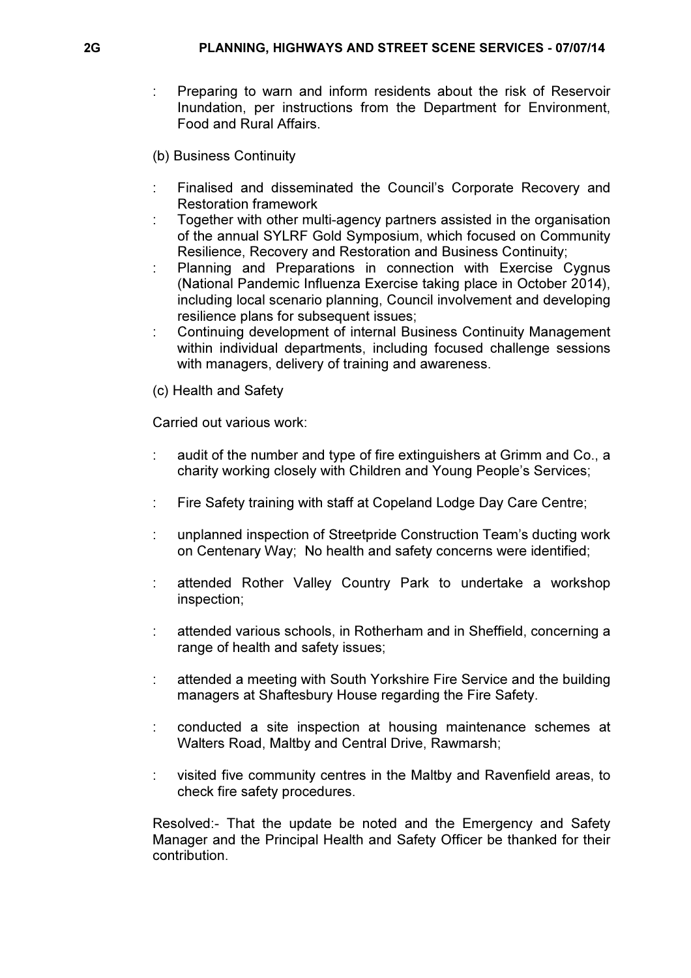- : Preparing to warn and inform residents about the risk of Reservoir Inundation, per instructions from the Department for Environment, Food and Rural Affairs.
- (b) Business Continuity
- : Finalised and disseminated the Council's Corporate Recovery and Restoration framework
- : Together with other multi-agency partners assisted in the organisation of the annual SYLRF Gold Symposium, which focused on Community Resilience, Recovery and Restoration and Business Continuity;
- Planning and Preparations in connection with Exercise Cygnus (National Pandemic Influenza Exercise taking place in October 2014), including local scenario planning, Council involvement and developing resilience plans for subsequent issues;
- : Continuing development of internal Business Continuity Management within individual departments, including focused challenge sessions with managers, delivery of training and awareness.
- (c) Health and Safety

Carried out various work:

- : audit of the number and type of fire extinguishers at Grimm and Co., a charity working closely with Children and Young People's Services;
- : Fire Safety training with staff at Copeland Lodge Day Care Centre;
- : unplanned inspection of Streetpride Construction Team's ducting work on Centenary Way; No health and safety concerns were identified;
- : attended Rother Valley Country Park to undertake a workshop inspection;
- : attended various schools, in Rotherham and in Sheffield, concerning a range of health and safety issues;
- : attended a meeting with South Yorkshire Fire Service and the building managers at Shaftesbury House regarding the Fire Safety.
- : conducted a site inspection at housing maintenance schemes at Walters Road, Maltby and Central Drive, Rawmarsh;
- : visited five community centres in the Maltby and Ravenfield areas, to check fire safety procedures.

Resolved:- That the update be noted and the Emergency and Safety Manager and the Principal Health and Safety Officer be thanked for their contribution.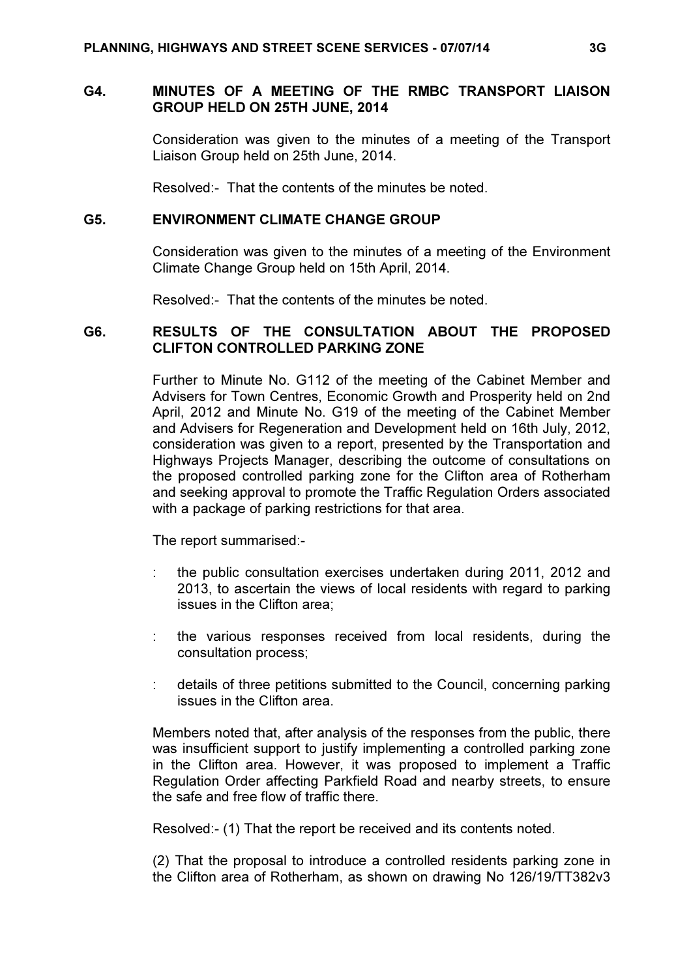### G4. MINUTES OF A MEETING OF THE RMBC TRANSPORT LIAISON GROUP HELD ON 25TH JUNE, 2014

 Consideration was given to the minutes of a meeting of the Transport Liaison Group held on 25th June, 2014.

Resolved:- That the contents of the minutes be noted.

#### G5. ENVIRONMENT CLIMATE CHANGE GROUP

 Consideration was given to the minutes of a meeting of the Environment Climate Change Group held on 15th April, 2014.

Resolved:- That the contents of the minutes be noted.

#### G6. RESULTS OF THE CONSULTATION ABOUT THE PROPOSED CLIFTON CONTROLLED PARKING ZONE

 Further to Minute No. G112 of the meeting of the Cabinet Member and Advisers for Town Centres, Economic Growth and Prosperity held on 2nd April, 2012 and Minute No. G19 of the meeting of the Cabinet Member and Advisers for Regeneration and Development held on 16th July, 2012, consideration was given to a report, presented by the Transportation and Highways Projects Manager, describing the outcome of consultations on the proposed controlled parking zone for the Clifton area of Rotherham and seeking approval to promote the Traffic Regulation Orders associated with a package of parking restrictions for that area.

The report summarised:-

- : the public consultation exercises undertaken during 2011, 2012 and 2013, to ascertain the views of local residents with regard to parking issues in the Clifton area;
- : the various responses received from local residents, during the consultation process;
- : details of three petitions submitted to the Council, concerning parking issues in the Clifton area.

Members noted that, after analysis of the responses from the public, there was insufficient support to justify implementing a controlled parking zone in the Clifton area. However, it was proposed to implement a Traffic Regulation Order affecting Parkfield Road and nearby streets, to ensure the safe and free flow of traffic there.

Resolved:- (1) That the report be received and its contents noted.

(2) That the proposal to introduce a controlled residents parking zone in the Clifton area of Rotherham, as shown on drawing No 126/19/TT382v3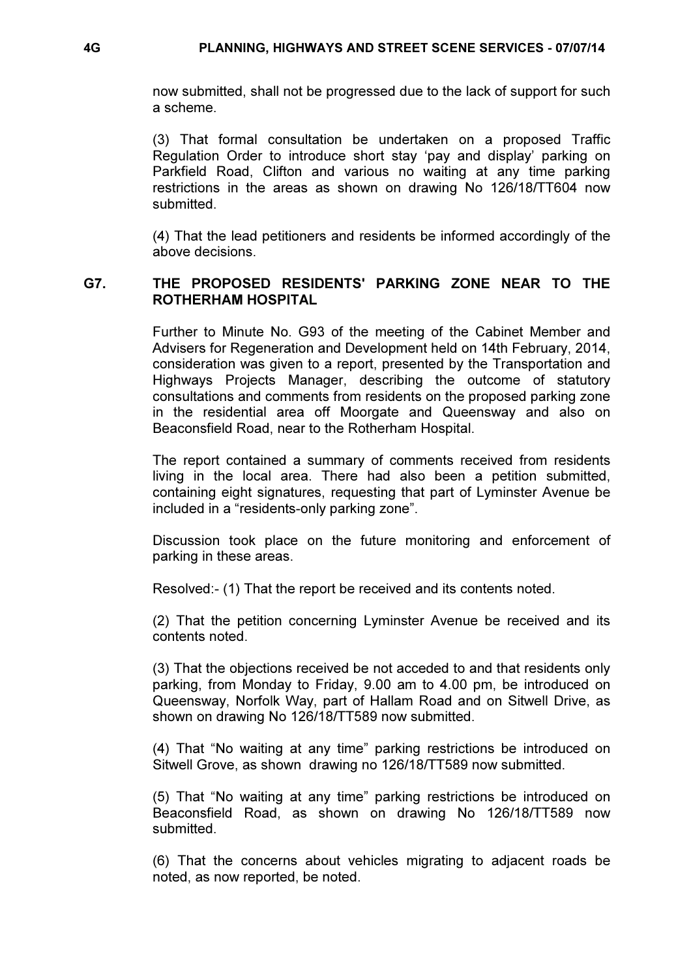now submitted, shall not be progressed due to the lack of support for such a scheme.

(3) That formal consultation be undertaken on a proposed Traffic Regulation Order to introduce short stay 'pay and display' parking on Parkfield Road, Clifton and various no waiting at any time parking restrictions in the areas as shown on drawing No 126/18/TT604 now submitted.

(4) That the lead petitioners and residents be informed accordingly of the above decisions.

#### G7. THE PROPOSED RESIDENTS' PARKING ZONE NEAR TO THE ROTHERHAM HOSPITAL

 Further to Minute No. G93 of the meeting of the Cabinet Member and Advisers for Regeneration and Development held on 14th February, 2014, consideration was given to a report, presented by the Transportation and Highways Projects Manager, describing the outcome of statutory consultations and comments from residents on the proposed parking zone in the residential area off Moorgate and Queensway and also on Beaconsfield Road, near to the Rotherham Hospital.

The report contained a summary of comments received from residents living in the local area. There had also been a petition submitted, containing eight signatures, requesting that part of Lyminster Avenue be included in a "residents-only parking zone".

Discussion took place on the future monitoring and enforcement of parking in these areas.

Resolved:- (1) That the report be received and its contents noted.

(2) That the petition concerning Lyminster Avenue be received and its contents noted.

(3) That the objections received be not acceded to and that residents only parking, from Monday to Friday, 9.00 am to 4.00 pm, be introduced on Queensway, Norfolk Way, part of Hallam Road and on Sitwell Drive, as shown on drawing No 126/18/TT589 now submitted.

(4) That "No waiting at any time" parking restrictions be introduced on Sitwell Grove, as shown drawing no 126/18/TT589 now submitted.

(5) That "No waiting at any time" parking restrictions be introduced on Beaconsfield Road, as shown on drawing No 126/18/TT589 now submitted.

(6) That the concerns about vehicles migrating to adjacent roads be noted, as now reported, be noted.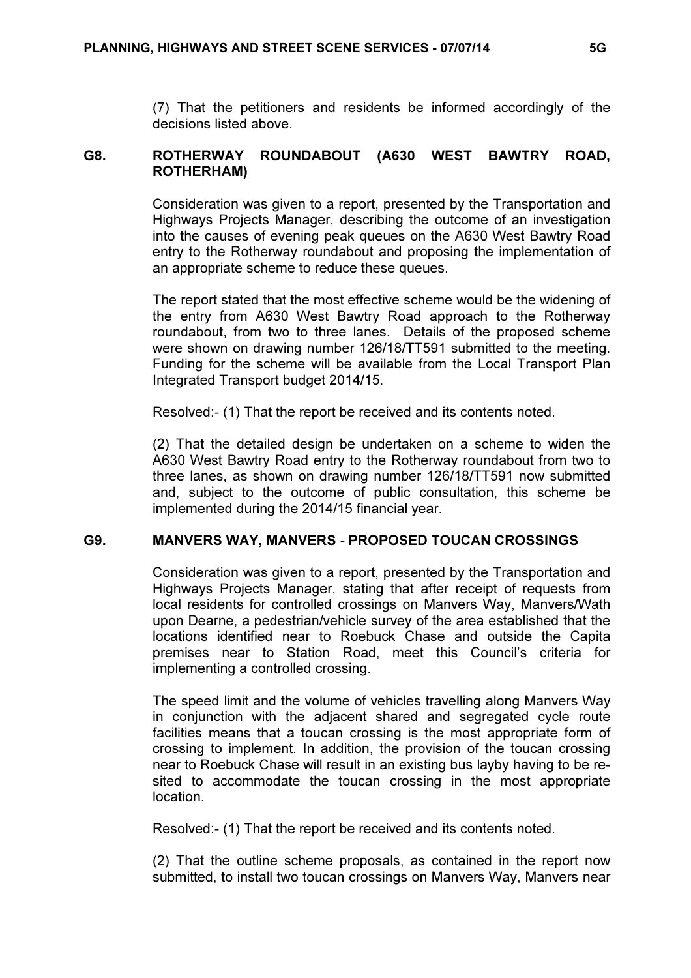(7) That the petitioners and residents be informed accordingly of the decisions listed above.

## G8. ROTHERWAY ROUNDABOUT (A630 WEST BAWTRY ROAD, ROTHERHAM)

 Consideration was given to a report, presented by the Transportation and Highways Projects Manager, describing the outcome of an investigation into the causes of evening peak queues on the A630 West Bawtry Road entry to the Rotherway roundabout and proposing the implementation of an appropriate scheme to reduce these queues.

The report stated that the most effective scheme would be the widening of the entry from A630 West Bawtry Road approach to the Rotherway roundabout, from two to three lanes. Details of the proposed scheme were shown on drawing number 126/18/TT591 submitted to the meeting. Funding for the scheme will be available from the Local Transport Plan Integrated Transport budget 2014/15.

Resolved:- (1) That the report be received and its contents noted.

(2) That the detailed design be undertaken on a scheme to widen the A630 West Bawtry Road entry to the Rotherway roundabout from two to three lanes, as shown on drawing number 126/18/TT591 now submitted and, subject to the outcome of public consultation, this scheme be implemented during the 2014/15 financial year.

## G9. MANVERS WAY, MANVERS - PROPOSED TOUCAN CROSSINGS

 Consideration was given to a report, presented by the Transportation and Highways Projects Manager, stating that after receipt of requests from local residents for controlled crossings on Manvers Way, Manvers/Wath upon Dearne, a pedestrian/vehicle survey of the area established that the locations identified near to Roebuck Chase and outside the Capita premises near to Station Road, meet this Council's criteria for implementing a controlled crossing.

The speed limit and the volume of vehicles travelling along Manvers Way in conjunction with the adjacent shared and segregated cycle route facilities means that a toucan crossing is the most appropriate form of crossing to implement. In addition, the provision of the toucan crossing near to Roebuck Chase will result in an existing bus layby having to be resited to accommodate the toucan crossing in the most appropriate location.

Resolved:- (1) That the report be received and its contents noted.

(2) That the outline scheme proposals, as contained in the report now submitted, to install two toucan crossings on Manvers Way, Manvers near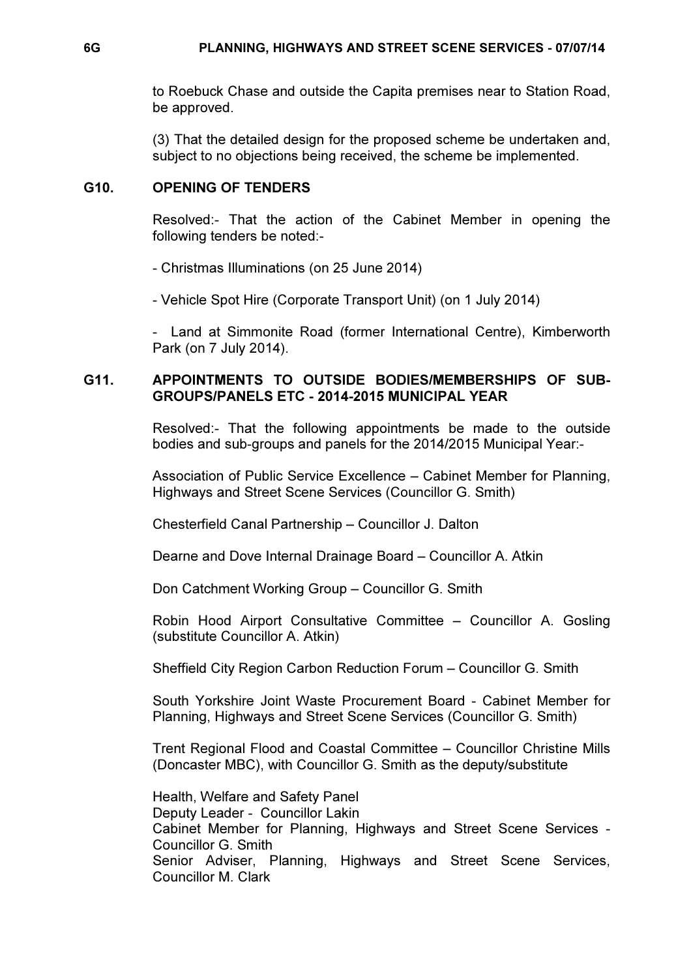to Roebuck Chase and outside the Capita premises near to Station Road, be approved.

(3) That the detailed design for the proposed scheme be undertaken and, subject to no objections being received, the scheme be implemented.

### G10. OPENING OF TENDERS

 Resolved:- That the action of the Cabinet Member in opening the following tenders be noted:-

- Christmas Illuminations (on 25 June 2014)

- Vehicle Spot Hire (Corporate Transport Unit) (on 1 July 2014)

- Land at Simmonite Road (former International Centre), Kimberworth Park (on 7 July 2014).

### G11. APPOINTMENTS TO OUTSIDE BODIES/MEMBERSHIPS OF SUB-GROUPS/PANELS ETC - 2014-2015 MUNICIPAL YEAR

 Resolved:- That the following appointments be made to the outside bodies and sub-groups and panels for the 2014/2015 Municipal Year:-

Association of Public Service Excellence – Cabinet Member for Planning, Highways and Street Scene Services (Councillor G. Smith)

Chesterfield Canal Partnership – Councillor J. Dalton

Dearne and Dove Internal Drainage Board – Councillor A. Atkin

Don Catchment Working Group – Councillor G. Smith

Robin Hood Airport Consultative Committee – Councillor A. Gosling (substitute Councillor A. Atkin)

Sheffield City Region Carbon Reduction Forum – Councillor G. Smith

South Yorkshire Joint Waste Procurement Board - Cabinet Member for Planning, Highways and Street Scene Services (Councillor G. Smith)

Trent Regional Flood and Coastal Committee – Councillor Christine Mills (Doncaster MBC), with Councillor G. Smith as the deputy/substitute

Health, Welfare and Safety Panel Deputy Leader - Councillor Lakin Cabinet Member for Planning, Highways and Street Scene Services - Councillor G. Smith Senior Adviser, Planning, Highways and Street Scene Services, Councillor M. Clark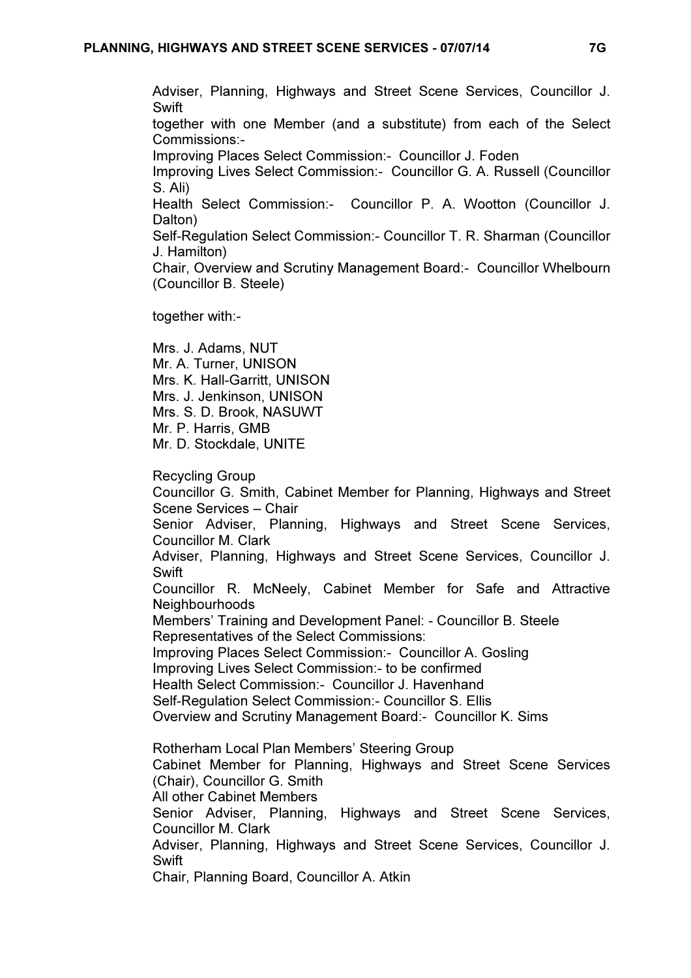Adviser, Planning, Highways and Street Scene Services, Councillor J. **Swift** 

together with one Member (and a substitute) from each of the Select Commissions:-

Improving Places Select Commission:- Councillor J. Foden

Improving Lives Select Commission:- Councillor G. A. Russell (Councillor S. Ali)

Health Select Commission:- Councillor P. A. Wootton (Councillor J. Dalton)

Self-Regulation Select Commission:- Councillor T. R. Sharman (Councillor J. Hamilton)

Chair, Overview and Scrutiny Management Board:- Councillor Whelbourn (Councillor B. Steele)

together with:-

Mrs. J. Adams, NUT Mr. A. Turner, UNISON Mrs. K. Hall-Garritt, UNISON Mrs. J. Jenkinson, UNISON Mrs. S. D. Brook, NASUWT Mr. P. Harris, GMB Mr. D. Stockdale, UNITE

Recycling Group

Councillor G. Smith, Cabinet Member for Planning, Highways and Street Scene Services – Chair

Senior Adviser, Planning, Highways and Street Scene Services, Councillor M. Clark

Adviser, Planning, Highways and Street Scene Services, Councillor J. **Swift** 

Councillor R. McNeely, Cabinet Member for Safe and Attractive **Neighbourhoods** 

Members' Training and Development Panel: - Councillor B. Steele Representatives of the Select Commissions:

Improving Places Select Commission:- Councillor A. Gosling

Improving Lives Select Commission:- to be confirmed

Health Select Commission:- Councillor J. Havenhand

Self-Regulation Select Commission:- Councillor S. Ellis

Overview and Scrutiny Management Board:- Councillor K. Sims

Rotherham Local Plan Members' Steering Group

Cabinet Member for Planning, Highways and Street Scene Services (Chair), Councillor G. Smith

All other Cabinet Members

Senior Adviser, Planning, Highways and Street Scene Services, Councillor M. Clark

Adviser, Planning, Highways and Street Scene Services, Councillor J. **Swift** 

Chair, Planning Board, Councillor A. Atkin